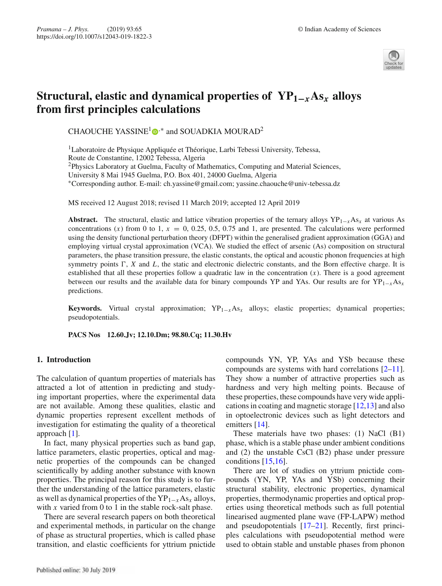

# **Structural, elastic and dynamical properties of**  $YP_{1-r}As_r$  **alloys from first principles calculations**

CHAOUCHE YASSINE<sup>1</sup> $\bullet$ <sup>\*</sup> and SOUADKIA MOURAD<sup>2</sup>

<sup>1</sup>Laboratoire de Physique Appliquée et Théorique, Larbi Tebessi University, Tebessa, Route de Constantine, 12002 Tebessa, Algeria <sup>2</sup>Physics Laboratory at Guelma, Faculty of Mathematics, Computing and Material Sciences, University 8 Mai 1945 Guelma, P.O. Box 401, 24000 Guelma, Algeria ∗Corresponding author. E-mail: ch.yassine@gmail.com; yassine.chaouche@univ-tebessa.dz

MS received 12 August 2018; revised 11 March 2019; accepted 12 April 2019

**Abstract.** The structural, elastic and lattice vibration properties of the ternary alloys  $YP_{1-x}As_x$  at various As concentrations  $(x)$  from 0 to 1,  $x = 0$ , 0.25, 0.5, 0.75 and 1, are presented. The calculations were performed using the density functional perturbation theory (DFPT) within the generalised gradient approximation (GGA) and employing virtual crystal approximation (VCA). We studied the effect of arsenic (As) composition on structural parameters, the phase transition pressure, the elastic constants, the optical and acoustic phonon frequencies at high symmetry points  $\Gamma$ ,  $X$  and  $L$ , the static and electronic dielectric constants, and the Born effective charge. It is established that all these properties follow a quadratic law in the concentration  $(x)$ . There is a good agreement between our results and the available data for binary compounds YP and YAs. Our results are for YP1−*x*As*<sup>x</sup>* predictions.

**Keywords.** Virtual crystal approximation;  $YP_{1-x}As_x$  alloys; elastic properties; dynamical properties; pseudopotentials.

**PACS Nos 12.60.Jv; 12.10.Dm; 98.80.Cq; 11.30.Hv**

## **1. Introduction**

The calculation of quantum properties of materials has attracted a lot of attention in predicting and studying important properties, where the experimental data are not available. Among these qualities, elastic and dynamic properties represent excellent methods of investigation for estimating the quality of a theoretical approach [1].

In fact, many physical properties such as band gap, lattice parameters, elastic properties, optical and magnetic properties of the compounds can be changed scientifically by adding another substance with known properties. The principal reason for this study is to further the understanding of the lattice parameters, elastic as well as dynamical properties of the YP1−*x*As*<sup>x</sup>* alloys, with *x* varied from 0 to 1 in the stable rock-salt phase.

There are several research papers on both theoretical and experimental methods, in particular on the change of phase as structural properties, which is called phase transition, and elastic coefficients for yttrium pnictide compounds YN, YP, YAs and YSb because these compounds are systems with hard correlations  $[2-11]$ . They show a number of attractive properties such as hardness and very high melting points. Because of these properties, these compounds have very wide applications in coating and magnetic storage [12,13] and also in optoelectronic devices such as light detectors and emitters [14].

These materials have two phases: (1) NaCl (B1) phase, which is a stable phase under ambient conditions and (2) the unstable CsCl (B2) phase under pressure conditions [15,16].

There are lot of studies on yttrium pnictide compounds (YN, YP, YAs and YSb) concerning their structural stability, electronic properties, dynamical properties, thermodynamic properties and optical properties using theoretical methods such as full potential linearised augmented plane wave (FP-LAPW) method and pseudopotentials [17–21]. Recently, first principles calculations with pseudopotential method were used to obtain stable and unstable phases from phonon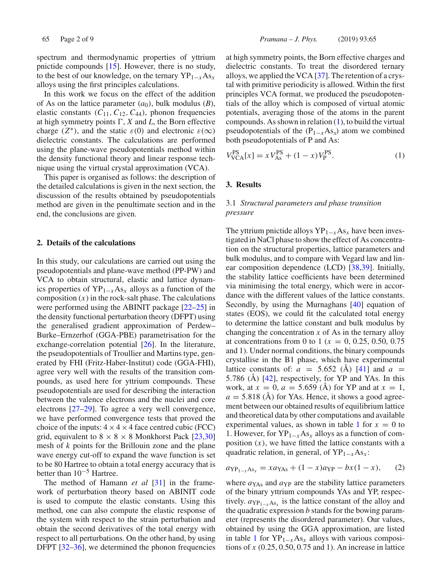spectrum and thermodynamic properties of yttrium pnictide compounds [15]. However, there is no study, to the best of our knowledge, on the ternary YP1−*x*As*<sup>x</sup>* alloys using the first principles calculations.

In this work we focus on the effect of the addition of As on the lattice parameter  $(a_0)$ , bulk modulus  $(B)$ , elastic constants  $(C_{11}, C_{12}, C_{44})$ , phonon frequencies at high symmetry points  $\Gamma$ , *X* and *L*, the Born effective charge ( $Z^*$ ), and the static  $\varepsilon(0)$  and electronic  $\varepsilon(\infty)$ dielectric constants. The calculations are performed using the plane-wave pseudopotentials method within the density functional theory and linear response technique using the virtual crystal approximation (VCA).

This paper is organised as follows: the description of the detailed calculations is given in the next section, the discussion of the results obtained by pseudopotentials method are given in the penultimate section and in the end, the conclusions are given.

## **2. Details of the calculations**

In this study, our calculations are carried out using the pseudopotentials and plane-wave method (PP-PW) and VCA to obtain structural, elastic and lattice dynamics properties of  $YP_{1-x}As_x$  alloys as a function of the composition  $(x)$  in the rock-salt phase. The calculations were performed using the ABINIT package [22–25] in the density functional perturbation theory (DFPT) using the generalised gradient approximation of Perdew– Burke–Ernzerhof (GGA-PBE) parametrisation for the exchange-correlation potential [26]. In the literature, the pseudopotentials of Troullier and Martins type, generated by FHI (Fritz-Haber-Institut) code (GGA-FHI), agree very well with the results of the transition compounds, as used here for yttrium compounds. These pseudopotentials are used for describing the interaction between the valence electrons and the nuclei and core electrons [27–29]. To agree a very well convergence, we have performed convergence tests that proved the choice of the inputs:  $4 \times 4 \times 4$  face centred cubic (FCC) grid, equivalent to  $8 \times 8 \times 8$  Monkhorst Pack [23,30] mesh of *k* points for the Brillouin zone and the plane wave energy cut-off to expand the wave function is set to be 80 Hartree to obtain a total energy accuracy that is better than  $10^{-5}$  Hartree.

The method of Hamann *et al* [31] in the framework of perturbation theory based on ABINIT code is used to compute the elastic constants. Using this method, one can also compute the elastic response of the system with respect to the strain perturbation and obtain the second derivatives of the total energy with respect to all perturbations. On the other hand, by using DFPT [32–36], we determined the phonon frequencies at high symmetry points, the Born effective charges and dielectric constants. To treat the disordered ternary alloys, we applied the VCA [37]. The retention of a crystal with primitive periodicity is allowed. Within the first principles VCA format, we produced the pseudopotentials of the alloy which is composed of virtual atomic potentials, averaging those of the atoms in the parent compounds. As shown in relation (1), to build the virtual pseudopotentials of the  $(P_{1-x}As_x)$  atom we combined both pseudopotentials of P and As:

$$
V_{\text{VCA}}^{\text{PS}}[x] = x V_{\text{As}}^{\text{PS}} + (1 - x) V_{\text{P}}^{\text{PS}}.
$$
 (1)

## **3. Results**

# 3.1 *Structural parameters and phase transition pressure*

The yttrium pnictide alloys YP1−*x*As*<sup>x</sup>* have been investigated in NaCl phase to show the effect of As concentration on the structural properties, lattice parameters and bulk modulus, and to compare with Vegard law and linear composition dependence (LCD) [38,39]. Initially, the stability lattice coefficients have been determined via minimising the total energy, which were in accordance with the different values of the lattice constants. Secondly, by using the Murnaghans [40] equation of states (EOS), we could fit the calculated total energy to determine the lattice constant and bulk modulus by changing the concentration  $x$  of As in the ternary alloy at concentrations from 0 to 1 ( $x = 0, 0.25, 0.50, 0.75$ ) and 1). Under normal conditions, the binary compounds crystallise in the B1 phase, which have experimental lattice constants of:  $a = 5.652$  (A) [41] and  $a =$ 5.786 (Å) [42], respectively, for YP and YAs. In this work, at  $x = 0$ ,  $a = 5.659$  (Å) for YP and at  $x = 1$ ,  $a = 5.818$  (Å) for YAs. Hence, it shows a good agreement between our obtained results of equilibrium lattice and theoretical data by other computations and available experimental values, as shown in table 1 for  $x = 0$  to 1. However, for YP1−*x*As*<sup>x</sup>* alloys as a function of composition  $(x)$ , we have fitted the lattice constants with a quadratic relation, in general, of YP1−*x*As*<sup>x</sup>* :

$$
a_{\text{YP}_{1-x}\text{As}_x} = x a_{\text{YAs}} + (1-x) a_{\text{YP}} - bx (1-x), \qquad (2)
$$

where  $a_{YAs}$  and  $a_{YP}$  are the stability lattice parameters of the binary yttrium compounds YAs and YP, respectively.  $a_{\text{YP}_{1-x}\text{As}_x}$  is the lattice constant of the alloy and the quadratic expression *b* stands for the bowing parameter (represents the disordered parameter). Our values, obtained by using the GGA approximation, are listed in table 1 for  $YP_{1-x}As_x$  alloys with various compositions of *x* (0.25, 0.50, 0.75 and 1). An increase in lattice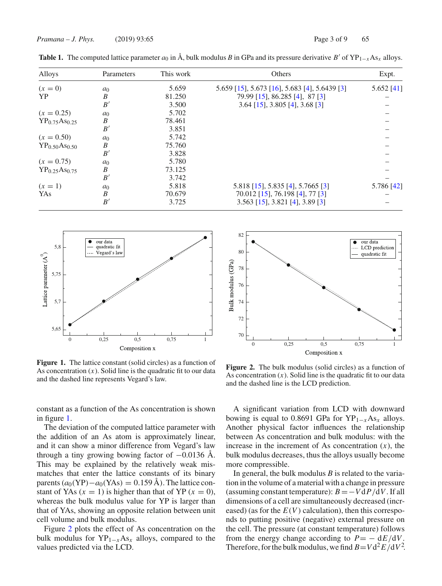| Alloys                                | Parameters     | This work | Others                                        | Expt.        |
|---------------------------------------|----------------|-----------|-----------------------------------------------|--------------|
| $(x = 0)$                             | a <sub>0</sub> | 5.659     | 5.659 [15], 5.673 [16], 5.683 [4], 5.6439 [3] | $5.652$ [41] |
| <b>YP</b>                             | B              | 81.250    | 79.99 [15], 86.285 [4], 87 [3]                |              |
|                                       | B'             | 3.500     | $3.64$ [15], $3.805$ [4], $3.68$ [3]          |              |
| $(x = 0.25)$                          | a <sub>0</sub> | 5.702     |                                               |              |
| YP <sub>0.75</sub> As <sub>0.25</sub> | B              | 78.461    |                                               |              |
|                                       | B'             | 3.851     |                                               |              |
| $(x = 0.50)$                          | a <sub>0</sub> | 5.742     |                                               |              |
| YP <sub>0.50</sub> As <sub>0.50</sub> | B              | 75.760    |                                               |              |
|                                       | B'             | 3.828     |                                               |              |
| $(x = 0.75)$                          | a <sub>0</sub> | 5.780     |                                               |              |
| YP <sub>0.25</sub> As <sub>0.75</sub> | B              | 73.125    |                                               |              |
|                                       | B'             | 3.742     |                                               |              |
| $(x = 1)$                             | a <sub>0</sub> | 5.818     | 5.818 [15], 5.835 [4], 5.7665 [3]             | 5.786 [42]   |
| YAs                                   | B              | 70.679    | 70.012 [15], 76.198 [4], 77 [3]               |              |
|                                       | B'             | 3.725     | $3.563$ [15], $3.821$ [4], $3.89$ [3]         |              |

**Table 1.** The computed lattice parameter  $a_0$  in Å, bulk modulus *B* in GPa and its pressure derivative *B'* of YP<sub>1−*x*</sub>As<sub>*x*</sub> alloys.



**Figure 1.** The lattice constant (solid circles) as a function of As concentration  $(x)$ . Solid line is the quadratic fit to our data and the dashed line represents Vegard's law.

constant as a function of the As concentration is shown in figure 1.

The deviation of the computed lattice parameter with the addition of an As atom is approximately linear, and it can show a minor difference from Vegard's law through a tiny growing bowing factor of  $-0.0136$  Å. This may be explained by the relatively weak mismatches that enter the lattice constants of its binary parents  $(a_0(\text{YP})-a_0(\text{YAs}) = 0.159 \text{ Å})$ . The lattice constant of YAs  $(x = 1)$  is higher than that of YP  $(x = 0)$ , whereas the bulk modulus value for YP is larger than that of YAs, showing an opposite relation between unit cell volume and bulk modulus.

Figure 2 plots the effect of As concentration on the bulk modulus for YP1−*x*As*<sup>x</sup>* alloys, compared to the values predicted via the LCD.



**Figure 2.** The bulk modulus (solid circles) as a function of As concentration  $(x)$ . Solid line is the quadratic fit to our data and the dashed line is the LCD prediction.

A significant variation from LCD with downward bowing is equal to 0.8691 GPa for  $YP_{1-x}As_x$  alloys. Another physical factor influences the relationship between As concentration and bulk modulus: with the increase in the increment of As concentration  $(x)$ , the bulk modulus decreases, thus the alloys usually become more compressible.

In general, the bulk modulus *B* is related to the variation in the volume of a material with a change in pressure (assuming constant temperature):  $B = -V dP/dV$ . If all dimensions of a cell are simultaneously decreased (increased) (as for the  $E(V)$  calculation), then this corresponds to putting positive (negative) external pressure on the cell. The pressure (at constant temperature) follows from the energy change according to  $P = - dE/dV$ . Therefore, for the bulk modulus, we find  $B=V d^2 E/dV^2$ .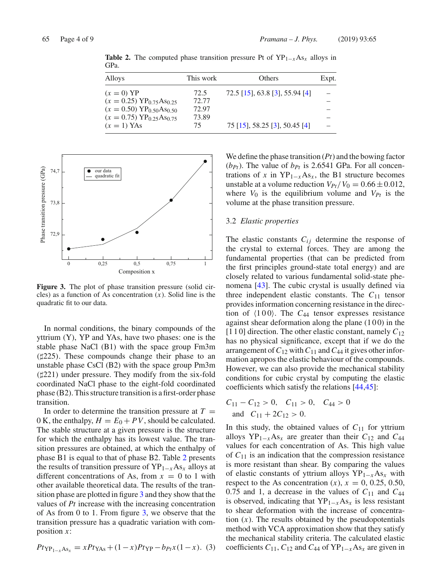| Alloys                                          | This work | Others                         | Expt. |
|-------------------------------------------------|-----------|--------------------------------|-------|
| $(x=0)$ YP                                      | 72.5      | 72.5 [15], 63.8 [3], 55.94 [4] |       |
| $(x = 0.25) \text{ YP}_{0.75} \text{As}_{0.25}$ | 72.77     |                                |       |
| $(x = 0.50) \text{ YP}_{0.50} \text{As}_{0.50}$ | 72.97     |                                |       |
| $(x = 0.75) \text{ YP}_{0.25} \text{As}_{0.75}$ | 73.89     |                                |       |
| $(x = 1)$ YAs                                   | 75        | 75 [15], 58.25 [3], 50.45 [4]  |       |

**Table 2.** The computed phase transition pressure Pt of  $YP_{1-x}As_x$  alloys in GPa.



**Figure 3.** The plot of phase transition pressure (solid circles) as a function of As concentration (*x*). Solid line is the quadratic fit to our data.

In normal conditions, the binary compounds of the yttrium (Y), YP and YAs, have two phases: one is the stable phase NaCl (B1) with the space group Fm3m (225). These compounds change their phase to an unstable phase CsCl (B2) with the space group Pm3m (221) under pressure. They modify from the six-fold coordinated NaCl phase to the eight-fold coordinated phase (B2). This structure transition is a first-order phase transition.

In order to determine the transition pressure at  $T =$ 0 K, the enthalpy,  $H = E_0 + PV$ , should be calculated. The stable structure at a given pressure is the structure for which the enthalpy has its lowest value. The transition pressures are obtained, at which the enthalpy of phase B1 is equal to that of phase B2. Table 2 presents the results of transition pressure of YP1−*x*As*<sup>x</sup>* alloys at different concentrations of As, from  $x = 0$  to 1 with other available theoretical data. The results of the transition phase are plotted in figure 3 and they show that the values of *Pt* increase with the increasing concentration of As from 0 to 1. From figure  $3$ , we observe that the transition pressure has a quadratic variation with composition *x*:

$$
Pt_{\text{YP}_{1-x}\text{As}_x} = xPt_{\text{YAs}} + (1-x)Pt_{\text{YP}} - b_{Pt}x(1-x). \tag{3}
$$

We define the phase transition (*Pt*) and the bowing factor  $(b_{Pt})$ . The value of  $b_{Pt}$  is 2.6541 GPa. For all concentrations of *x* in  $YP_{1-x}As_x$ , the B1 structure becomes unstable at a volume reduction  $V_{Pt}/V_0 = 0.66 \pm 0.012$ , where  $V_0$  is the equilibrium volume and  $V_{Pt}$  is the volume at the phase transition pressure.

## 3.2 *Elastic properties*

The elastic constants  $C_{ij}$  determine the response of the crystal to external forces. They are among the fundamental properties (that can be predicted from the first principles ground-state total energy) and are closely related to various fundamental solid-state phenomena [43]. The cubic crystal is usually defined via three independent elastic constants. The  $C_{11}$  tensor provides information concerning resistance in the direction of  $\langle 100 \rangle$ . The  $C_{44}$  tensor expresses resistance against shear deformation along the plane  $(100)$  in the  $[1 1 0]$  direction. The other elastic constant, namely  $C_{12}$ has no physical significance, except that if we do the arrangement of  $C_{12}$  with  $C_{11}$  and  $C_{44}$  it gives other information apropos the elastic behaviour of the compounds. However, we can also provide the mechanical stability conditions for cubic crystal by computing the elastic coefficients which satisfy the relations [44,45]:

$$
C_{11} - C_{12} > 0, \quad C_{11} > 0, \quad C_{44} > 0
$$
  
and 
$$
C_{11} + 2C_{12} > 0.
$$

In this study, the obtained values of  $C_{11}$  for yttrium alloys YP1−*x*As*<sup>x</sup>* are greater than their *C*<sup>12</sup> and *C*<sup>44</sup> values for each concentration of As. This high value of  $C_{11}$  is an indication that the compression resistance is more resistant than shear. By comparing the values of elastic constants of yttrium alloys YP1−*x*As*<sup>x</sup>* with respect to the As concentration  $(x)$ ,  $x = 0$ , 0.25, 0.50, 0.75 and 1, a decrease in the values of  $C_{11}$  and  $C_{44}$ is observed, indicating that  $YP_{1-x}As_x$  is less resistant to shear deformation with the increase of concentration  $(x)$ . The results obtained by the pseudopotentials method with VCA approximation show that they satisfy the mechanical stability criteria. The calculated elastic coefficients  $C_{11}$ ,  $C_{12}$  and  $C_{44}$  of  $YP_{1-x}As_x$  are given in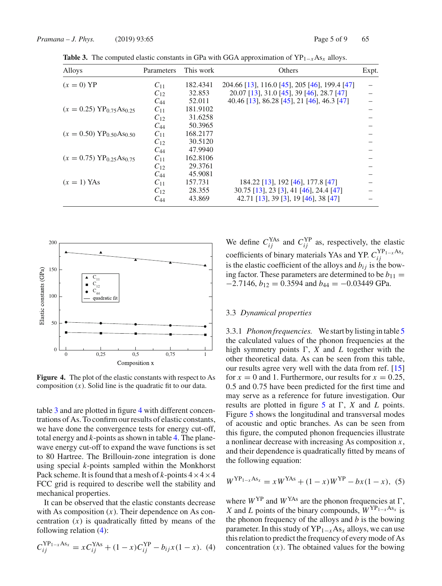| Alloys                                             | Parameters | This work | Others                                        | Expt. |
|----------------------------------------------------|------------|-----------|-----------------------------------------------|-------|
| $(x=0)$ YP                                         | $C_{11}$   | 182.4341  | 204.66 [13], 116.0 [45], 205 [46], 199.4 [47] |       |
|                                                    | $C_{12}$   | 32.853    | 20.07 [13], 31.0 [45], 39 [46], 28.7 [47]     |       |
|                                                    | $C_{44}$   | 52.011    | 40.46 [13], 86.28 [45], 21 [46], 46.3 [47]    |       |
| $(x = 0.25) \text{ YP}_{0.75} \text{As}_{0.25}$    | $C_{11}$   | 181.9102  |                                               |       |
|                                                    | $C_{12}$   | 31.6258   |                                               |       |
|                                                    | $C_{44}$   | 50.3965   |                                               |       |
| $(x = 0.50)$ YP <sub>0.50</sub> As <sub>0.50</sub> | $C_{11}$   | 168.2177  |                                               |       |
|                                                    | $C_{12}$   | 30.5120   |                                               |       |
|                                                    | $C_{44}$   | 47.9940   |                                               |       |
| $(x = 0.75) \text{ YP}_0$ 25 As <sub>0</sub> 75    | $C_{11}$   | 162.8106  |                                               |       |
|                                                    | $C_{12}$   | 29.3761   |                                               |       |
|                                                    | $C_{44}$   | 45.9081   |                                               |       |
| $(x = 1)$ YAs                                      | $C_{11}$   | 157.731   | 184.22 [13], 192 [46], 177.8 [47]             |       |
|                                                    | $C_{12}$   | 28.355    | 30.75 [13], 23 [3], 41 [46], 24.4 [47]        |       |
|                                                    | $C_{44}$   | 43.869    | 42.71 [13], 39 [3], 19 [46], 38 [47]          |       |

**Table 3.** The computed elastic constants in GPa with GGA approximation of  $YP_{1-x}As_x$  alloys.



**Figure 4.** The plot of the elastic constants with respect to As composition (*x*). Solid line is the quadratic fit to our data.

table 3 and are plotted in figure 4 with different concentrations of As. To confirm our results of elastic constants, we have done the convergence tests for energy cut-off, total energy and *k*-points as shown in table 4. The planewave energy cut-off to expand the wave functions is set to 80 Hartree. The Brillouin-zone integration is done using special *k*-points sampled within the Monkhorst Pack scheme. It is found that a mesh of  $k$ -points  $4 \times 4 \times 4$ FCC grid is required to describe well the stability and mechanical properties.

It can be observed that the elastic constants decrease with As composition  $(x)$ . Their dependence on As concentration  $(x)$  is quadratically fitted by means of the following relation (4):

$$
C_{ij}^{\text{YP}_{1-x}\text{As}_{x}} = xC_{ij}^{\text{YAs}} + (1-x)C_{ij}^{\text{YP}} - b_{ij}x(1-x). \tag{4}
$$

We define  $C_{ij}^{YAs}$  and  $C_{ij}^{YP}$  as, respectively, the elastic coefficients of binary materials YAs and YP.  $C_{ij}^{\text{YP}_{1-x} \text{As}_x}$ is the elastic coefficient of the alloys and  $b_{ij}$  is the bowing factor. These parameters are determined to be  $b_{11} =$  $-2.7146$ ,  $b_{12} = 0.3594$  and  $b_{44} = -0.03449$  GPa.

## 3.3 *Dynamical properties*

3.3.1 *Phonon frequencies.* We start by listing in table 5 the calculated values of the phonon frequencies at the high symmetry points  $\Gamma$ ,  $X$  and  $L$  together with the other theoretical data. As can be seen from this table, our results agree very well with the data from ref. [15] for  $x = 0$  and 1. Furthermore, our results for  $x = 0.25$ , 0.5 and 0.75 have been predicted for the first time and may serve as a reference for future investigation. Our results are plotted in figure  $5$  at  $\Gamma$ ,  $X$  and  $L$  points. Figure 5 shows the longitudinal and transversal modes of acoustic and optic branches. As can be seen from this figure, the computed phonon frequencies illustrate a nonlinear decrease with increasing As composition *x*, and their dependence is quadratically fitted by means of the following equation:

$$
W^{\text{YP}_{1-x}\text{As}_x} = xW^{\text{YAs}} + (1-x)W^{\text{YP}} - bx(1-x), \tag{5}
$$

where  $W^{YP}$  and  $W^{YAs}$  are the phonon frequencies at  $\Gamma$ , *X* and *L* points of the binary compounds,  $W^{YP_{1-x}As_x}$  is the phonon frequency of the alloys and *b* is the bowing parameter. In this study of YP1−*x*As*<sup>x</sup>* alloys, we can use this relation to predict the frequency of every mode of As concentration  $(x)$ . The obtained values for the bowing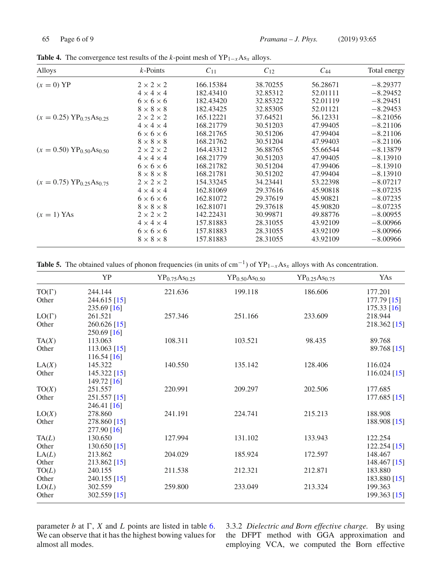| Alloys                                          | $k$ -Points           | $C_{11}$  | $C_{12}$ | $C_{44}$ | Total energy |
|-------------------------------------------------|-----------------------|-----------|----------|----------|--------------|
| $(x=0)$ YP                                      | $2 \times 2 \times 2$ | 166.15384 | 38.70255 | 56.28671 | $-8.29377$   |
|                                                 | $4 \times 4 \times 4$ | 182.43410 | 32.85312 | 52.01111 | $-8.29452$   |
|                                                 | $6 \times 6 \times 6$ | 182.43420 | 32.85322 | 52.01119 | $-8.29451$   |
|                                                 | $8 \times 8 \times 8$ | 182.43425 | 32.85305 | 52.01121 | $-8.29453$   |
| $(x = 0.25) \text{ YP}_{0.75} \text{As}_{0.25}$ | $2 \times 2 \times 2$ | 165.12221 | 37.64521 | 56.12331 | $-8.21056$   |
|                                                 | $4 \times 4 \times 4$ | 168.21779 | 30.51203 | 47.99405 | $-8.21106$   |
|                                                 | $6 \times 6 \times 6$ | 168.21765 | 30.51206 | 47.99404 | $-8.21106$   |
|                                                 | $8 \times 8 \times 8$ | 168.21762 | 30.51204 | 47.99403 | $-8.21106$   |
| $(x = 0.50) \text{ YP}_{0.50} \text{As}_{0.50}$ | $2 \times 2 \times 2$ | 164.43312 | 36.88765 | 55.66544 | $-8.13879$   |
|                                                 | $4 \times 4 \times 4$ | 168.21779 | 30.51203 | 47.99405 | $-8.13910$   |
|                                                 | $6 \times 6 \times 6$ | 168.21782 | 30.51204 | 47.99406 | $-8.13910$   |
|                                                 | $8 \times 8 \times 8$ | 168.21781 | 30.51202 | 47.99404 | $-8.13910$   |
| $(x = 0.75) \text{ YP}_{0.25} \text{As}_{0.75}$ | $2 \times 2 \times 2$ | 154.33245 | 34.23441 | 53.22398 | $-8.07217$   |
|                                                 | $4 \times 4 \times 4$ | 162.81069 | 29.37616 | 45.90818 | $-8.07235$   |
|                                                 | $6 \times 6 \times 6$ | 162.81072 | 29.37619 | 45.90821 | $-8.07235$   |
|                                                 | $8 \times 8 \times 8$ | 162.81071 | 29.37618 | 45.90820 | $-8.07235$   |
| $(x = 1)$ YAs                                   | $2 \times 2 \times 2$ | 142.22431 | 30.99871 | 49.88776 | $-8.00955$   |
|                                                 | $4 \times 4 \times 4$ | 157.81883 | 28.31055 | 43.92109 | $-8.00966$   |
|                                                 |                       |           |          |          |              |

 $6 \times 6 \times 6$  157.81883 28.31055 43.92109 −8.00966  $8 \times 8 \times 8$  157.81883 28.31055 43.92109 −8.00966

**Table 4.** The convergence test results of the *k*-point mesh of  $YP_{1-x} As_x$  alloys.

**Table 5.** The obtained values of phonon frequencies (in units of cm<sup>-1</sup>) of  $YP_{1-x}As_x$  alloys with As concentration.

|              | YP             | YP <sub>0.75</sub> As <sub>0.25</sub> | $YP_{0.50}As_{0.50}$ | $YP_{0.25}As_{0.75}$ | YAs            |
|--------------|----------------|---------------------------------------|----------------------|----------------------|----------------|
| $TO(\Gamma)$ | 244.144        | 221.636                               | 199.118              | 186.606              | 177.201        |
| Other        | 244.615 [15]   |                                       |                      |                      | 177.79 [15]    |
|              | 235.69 [16]    |                                       |                      |                      | $175.33$ [16]  |
| $LO(\Gamma)$ | 261.521        | 257.346                               | 251.166              | 233.609              | 218.944        |
| Other        | 260.626 [15]   |                                       |                      |                      | 218.362 [15]   |
|              | 250.69 [16]    |                                       |                      |                      |                |
| TA(X)        | 113.063        | 108.311                               | 103.521              | 98.435               | 89.768         |
| Other        | $113.063$ [15] |                                       |                      |                      | 89.768 [15]    |
|              | $116.54$ [16]  |                                       |                      |                      |                |
| LA(X)        | 145.322        | 140.550                               | 135.142              | 128.406              | 116.024        |
| Other        | 145.322 [15]   |                                       |                      |                      | 116.024 $[15]$ |
|              | 149.72 [16]    |                                       |                      |                      |                |
| TO(X)        | 251.557        | 220.991                               | 209.297              | 202.506              | 177.685        |
| Other        | 251.557 [15]   |                                       |                      |                      | 177.685 [15]   |
|              | 246.41 [16]    |                                       |                      |                      |                |
| LO(X)        | 278.860        | 241.191                               | 224.741              | 215.213              | 188.908        |
| Other        | 278.860 [15]   |                                       |                      |                      | 188.908 [15]   |
|              | 277.90 [16]    |                                       |                      |                      |                |
| TA(L)        | 130.650        | 127.994                               | 131.102              | 133.943              | 122.254        |
| Other        | 130.650 [15]   |                                       |                      |                      | 122.254 [15]   |
| LA(L)        | 213.862        | 204.029                               | 185.924              | 172.597              | 148.467        |
| Other        | 213.862 [15]   |                                       |                      |                      | 148.467 [15]   |
| TO(L)        | 240.155        | 211.538                               | 212.321              | 212.871              | 183.880        |
| Other        | 240.155 [15]   |                                       |                      |                      | 183.880 [15]   |
| LO(L)        | 302.559        | 259.800                               | 233.049              | 213.324              | 199.363        |
| Other        | 302.559 [15]   |                                       |                      |                      | 199.363 [15]   |

parameter  $b$  at  $\Gamma$ ,  $X$  and  $L$  points are listed in table 6. We can observe that it has the highest bowing values for almost all modes.

3.3.2 *Dielectric and Born effective charge.* By using the DFPT method with GGA approximation and employing VCA, we computed the Born effective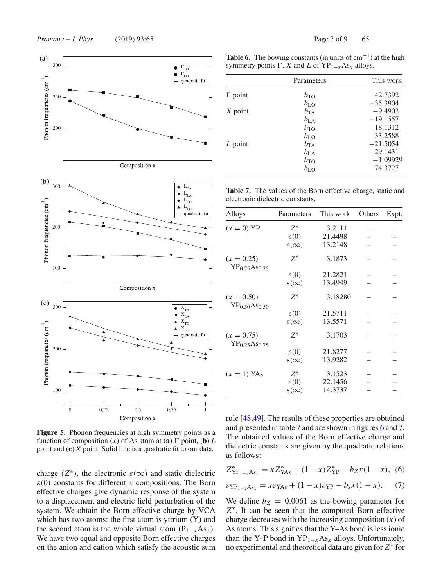



Figure 5. Phonon frequencies at high symmetry points as a function of composition  $(x)$  of As atom at  $(\mathbf{a}) \Gamma$  point,  $(\mathbf{b}) L$ point and (**c**) *X* point. Solid line is a quadratic fit to our data.

charge ( $Z^*$ ), the electronic  $\varepsilon(\infty)$  and static dielectric  $\varepsilon(0)$  constants for different *x* compositions. The Born effective charges give dynamic response of the system to a displacement and electric field perturbation of the system. We obtain the Born effective charge by VCA which has two atoms: the first atom is yttrium  $(Y)$  and the second atom is the whole virtual atom ( $P_{1-x}As_x$ ). We have two equal and opposite Born effective charges on the anion and cation which satisfy the acoustic sum

**Table 6.** The bowing constants (in units of  $cm^{-1}$ ) at the high symmetry points  $\Gamma$ , *X* and *L* of  $YP_{1-x}As_x$  alloys.

|                | Parameters   | This work  |
|----------------|--------------|------------|
| $\Gamma$ point | $b_{\rm TO}$ | 42.7392    |
|                | $b_{\rm LO}$ | $-35.3904$ |
| $X$ point      | $b_{\rm TA}$ | $-9.4903$  |
|                | $b_{\rm LA}$ | $-19.1557$ |
|                | $b_{\rm TO}$ | 18.1312    |
|                | $b_{\rm LO}$ | 33.2588    |
| $L$ point      | $b_{TA}$     | $-21.5054$ |
|                | $b_{\rm LA}$ | $-29.1431$ |
|                | $b_{\rm TO}$ | $-1.09929$ |
|                | $b_{\rm LO}$ | 74.3727    |

**Table 7.** The values of the Born effective charge, static and electronic dielectric constants.

| Alloys                                                | Parameters                | This work         | Others | Expt. |
|-------------------------------------------------------|---------------------------|-------------------|--------|-------|
| $(x=0)$ YP                                            | $Z^*$<br>$\varepsilon(0)$ | 3.2111<br>21.4498 |        |       |
|                                                       | $\varepsilon(\infty)$     | 13.2148           |        |       |
| $(x = 0.25)$<br>$YP_{0.75}As_{0.25}$                  | $Z^*$                     | 3.1873            |        |       |
|                                                       | $\varepsilon(0)$          | 21.2821           |        |       |
|                                                       | $\varepsilon(\infty)$     | 13.4949           |        |       |
| $(x = 0.50)$<br>YP <sub>0.50</sub> As <sub>0.50</sub> | $Z^*$                     | 3.18280           |        |       |
|                                                       | $\varepsilon(0)$          | 21.5711           |        |       |
|                                                       | $\varepsilon(\infty)$     | 13.5571           |        |       |
| $(x = 0.75)$<br>$YP_{0.25}As_{0.75}$                  | $Z^*$                     | 3.1703            |        |       |
|                                                       | $\varepsilon(0)$          | 21.8277           |        |       |
|                                                       | $\varepsilon(\infty)$     | 13.9282           |        |       |
| $(x = 1)$ YAs                                         | $Z^*$                     | 3.1523            |        |       |
|                                                       | $\varepsilon(0)$          | 22.1456           |        |       |
|                                                       | $\varepsilon(\infty)$     | 14.3737           |        |       |

rule [48,49]. The results of these properties are obtained and presented in table 7 and are shown in figures 6 and 7. The obtained values of the Born effective charge and dielectric constants are given by the quadratic relations as follows:

$$
Z_{\text{YP}_{1-x}\text{As}_x}^* = x Z_{\text{YAs}}^* + (1-x) Z_{\text{YP}}^* - b_Z x (1-x), \tag{6}
$$

$$
\varepsilon_{\text{YP}_{1-x}\text{As}_x} = x\varepsilon_{\text{YAs}} + (1-x)\varepsilon_{\text{YP}} - b_{\varepsilon}x(1-x). \tag{7}
$$

We define  $b_Z = 0.0061$  as the bowing parameter for *Z*∗. It can be seen that the computed Born effective charge decreases with the increasing composition (*x*) of As atoms. This signifies that the Y–As bond is less ionic than the Y–P bond in  $YP_{1-x}As_x$  alloys. Unfortunately, no experimental and theoretical data are given for *Z*∗ for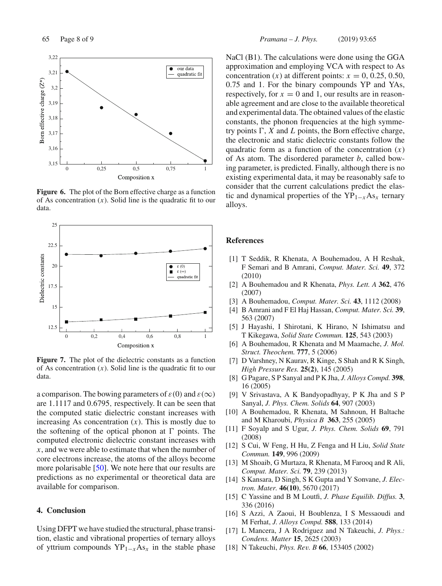

**Figure 6.** The plot of the Born effective charge as a function of As concentration  $(x)$ . Solid line is the quadratic fit to our data.



**Figure 7.** The plot of the dielectric constants as a function of As concentration (*x*). Solid line is the quadratic fit to our data.

a comparison. The bowing parameters of  $\varepsilon(0)$  and  $\varepsilon(\infty)$ are 1.1117 and 0.6795, respectively. It can be seen that the computed static dielectric constant increases with increasing As concentration  $(x)$ . This is mostly due to the softening of the optical phonon at  $\Gamma$  points. The computed electronic dielectric constant increases with *x*, and we were able to estimate that when the number of core electrons increase, the atoms of the alloys become more polarisable [50]. We note here that our results are predictions as no experimental or theoretical data are available for comparison.

## **4. Conclusion**

Using DFPT we have studied the structural, phase transition, elastic and vibrational properties of ternary alloys of yttrium compounds YP1−*x*As*<sup>x</sup>* in the stable phase NaCl (B1). The calculations were done using the GGA approximation and employing VCA with respect to As concentration  $(x)$  at different points:  $x = 0, 0.25, 0.50$ , 0.75 and 1. For the binary compounds YP and YAs, respectively, for  $x = 0$  and 1, our results are in reasonable agreement and are close to the available theoretical and experimental data. The obtained values of the elastic constants, the phonon frequencies at the high symmetry points  $\Gamma$ , *X* and *L* points, the Born effective charge, the electronic and static dielectric constants follow the quadratic form as a function of the concentration  $(x)$ of As atom. The disordered parameter *b*, called bowing parameter, is predicted. Finally, although there is no existing experimental data, it may be reasonably safe to consider that the current calculations predict the elastic and dynamical properties of the  $YP_{1-x}As_x$  ternary alloys.

#### **References**

- [1] T Seddik, R Khenata, A Bouhemadou, A H Reshak, F Semari and B Amrani, *Comput. Mater. Sci.* **49**, 372 (2010)
- [2] A Bouhemadou and R Khenata, *Phys. Lett. A* **362**, 476 (2007)
- [3] A Bouhemadou, *Comput. Mater. Sci.* **43**, 1112 (2008)
- [4] B Amrani and F El Haj Hassan, *Comput. Mater. Sci.* **39**, 563 (2007)
- [5] J Hayashi, I Shirotani, K Hirano, N Ishimatsu and T Kikegawa, *Solid State Commun.* **125**, 543 (2003)
- [6] A Bouhemadou, R Khenata and M Maamache, *J. Mol. Struct. Theochem.* **777**, 5 (2006)
- [7] D Varshney, N Kaurav, R Kinge, S Shah and R K Singh, *High Pressure Res.* **25(2)**, 145 (2005)
- [8] G Pagare, S P Sanyal and P K Jha, *J. Alloys Compd.* **398**, 16 (2005)
- [9] V Srivastava, A K Bandyopadhyay, P K Jha and S P Sanyal, *J. Phys. Chem. Solids* **64**, 907 (2003)
- [10] A Bouhemadou, R Khenata, M Sahnoun, H Baltache and M Kharoubi, *Physica B* **363**, 255 (2005)
- [11] F Soyalp and S Ugur, *J. Phys. Chem. Solids* **69**, 791 (2008)
- [12] S Cui, W Feng, H Hu, Z Fenga and H Liu, *Solid State Commun.* **149**, 996 (2009)
- [13] M Shoaib, G Murtaza, R Khenata, M Farooq and R Ali, *Comput. Mater. Sci.* **79**, 239 (2013)
- [14] S Kansara, D Singh, S K Gupta and Y Sonvane, *J. Electron. Mater.* **46(10)**, 5670 (2017)
- [15] C Yassine and B M Loutfi, *J. Phase Equilib. Diffus.* **3**, 336 (2016)
- [16] S Azzi, A Zaoui, H Boublenza, I S Messaoudi and M Ferhat, *J. Alloys Compd.* **588**, 133 (2014)
- [17] L Mancera, J A Rodriguez and N Takeuchi, *J. Phys.: Condens. Matter* **15**, 2625 (2003)
- [18] N Takeuchi, *Phys. Rev. B* **66**, 153405 (2002)